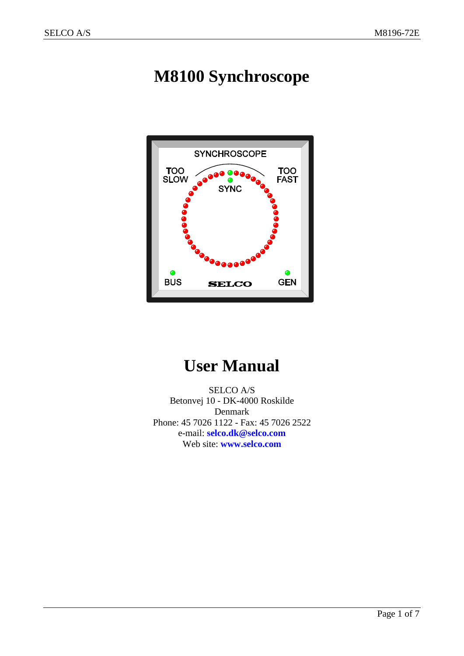# **M8100 Synchroscope**



# **User Manual**

SELCO A/S Betonvej 10 - DK-4000 Roskilde Denmark Phone: 45 7026 1122 - Fax: 45 7026 2522 e-mail: **[selco.dk@selco.com](mailto:selco.dk@selco.com)** Web site: **[www.selco.com](http://www.selco.com/)**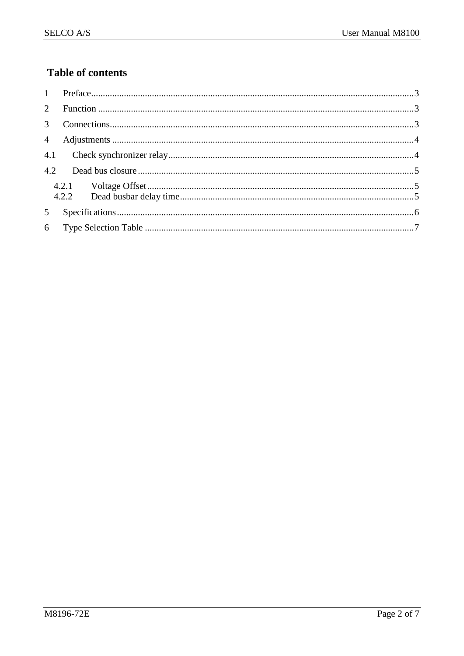### **Table of contents**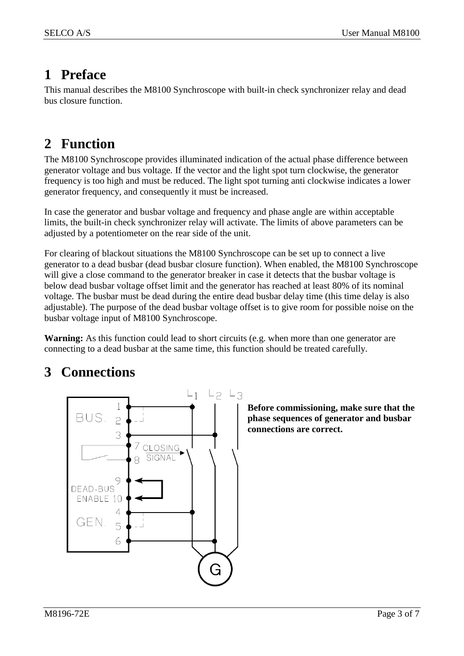### <span id="page-2-2"></span><span id="page-2-0"></span>**1 Preface**

This manual describes the M8100 Synchroscope with built-in check synchronizer relay and dead bus closure function.

### <span id="page-2-1"></span>**2 Function**

The M8100 Synchroscope provides illuminated indication of the actual phase difference between generator voltage and bus voltage. If the vector and the light spot turn clockwise, the generator frequency is too high and must be reduced. The light spot turning anti clockwise indicates a lower generator frequency, and consequently it must be increased.

In case the generator and busbar voltage and frequency and phase angle are within acceptable limits, the built-in check synchronizer relay will activate. The limits of above parameters can be adjusted by a potentiometer on the rear side of the unit.

For clearing of blackout situations the M8100 Synchroscope can be set up to connect a live generator to a dead busbar (dead busbar closure function). When enabled, the M8100 Synchroscope will give a close command to the generator breaker in case it detects that the busbar voltage is below dead busbar voltage offset limit and the generator has reached at least 80% of its nominal voltage. The busbar must be dead during the entire dead busbar delay time (this time delay is also adjustable). The purpose of the dead busbar voltage offset is to give room for possible noise on the busbar voltage input of M8100 Synchroscope.

**Warning:** As this function could lead to short circuits (e.g. when more than one generator are connecting to a dead busbar at the same time, this function should be treated carefully.

### **3 Connections**



**Before commissioning, make sure that the phase sequences of generator and busbar connections are correct.**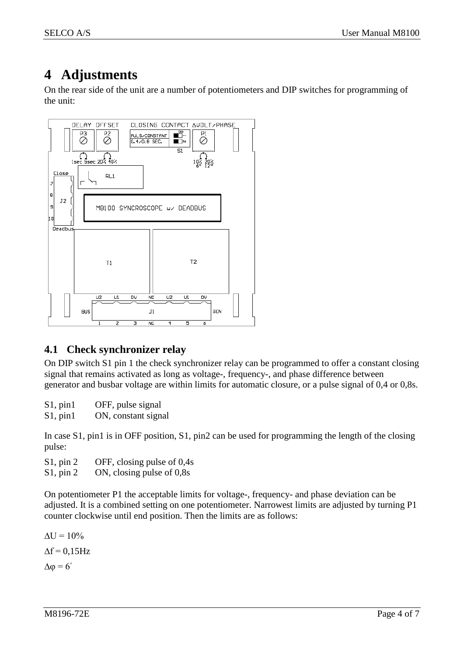### <span id="page-3-0"></span>**4 Adjustments**

On the rear side of the unit are a number of potentiometers and DIP switches for programming of the unit:



### <span id="page-3-1"></span>**4.1 Check synchronizer relay**

On DIP switch S1 pin 1 the check synchronizer relay can be programmed to offer a constant closing signal that remains activated as long as voltage-, frequency-, and phase difference between generator and busbar voltage are within limits for automatic closure, or a pulse signal of 0,4 or 0,8s.

S1, pin1 OFF, pulse signal

S1, pin1 ON, constant signal

In case S1, pin1 is in OFF position, S1, pin2 can be used for programming the length of the closing pulse:

S1, pin 2 OFF, closing pulse of 0,4s

S1, pin 2 ON, closing pulse of 0,8s

On potentiometer P1 the acceptable limits for voltage-, frequency- and phase deviation can be adjusted. It is a combined setting on one potentiometer. Narrowest limits are adjusted by turning P1 counter clockwise until end position. Then the limits are as follows:

 $\Delta U = 10\%$  $\Lambda$ f = 0.15Hz  $Δφ = 6°$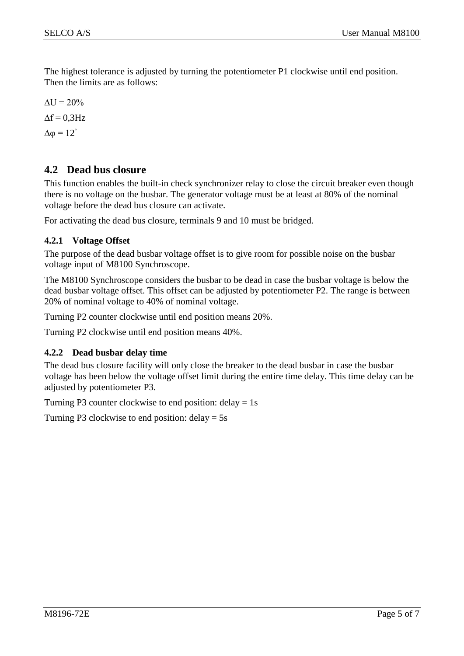The highest tolerance is adjusted by turning the potentiometer P1 clockwise until end position. Then the limits are as follows:

 $\Delta U = 20\%$  $\Lambda$ f = 0.3Hz  $Δφ = 12<sup>°</sup>$ 

#### <span id="page-4-0"></span>**4.2 Dead bus closure**

This function enables the built-in check synchronizer relay to close the circuit breaker even though there is no voltage on the busbar. The generator voltage must be at least at 80% of the nominal voltage before the dead bus closure can activate.

For activating the dead bus closure, terminals 9 and 10 must be bridged.

#### <span id="page-4-1"></span>**4.2.1 Voltage Offset**

The purpose of the dead busbar voltage offset is to give room for possible noise on the busbar voltage input of M8100 Synchroscope.

The M8100 Synchroscope considers the busbar to be dead in case the busbar voltage is below the dead busbar voltage offset. This offset can be adjusted by potentiometer P2. The range is between 20% of nominal voltage to 40% of nominal voltage.

Turning P2 counter clockwise until end position means 20%.

Turning P2 clockwise until end position means 40%.

#### <span id="page-4-2"></span>**4.2.2 Dead busbar delay time**

The dead bus closure facility will only close the breaker to the dead busbar in case the busbar voltage has been below the voltage offset limit during the entire time delay. This time delay can be adjusted by potentiometer P3.

Turning P3 counter clockwise to end position: delay  $= 1$ s

Turning P3 clockwise to end position:  $delay = 5s$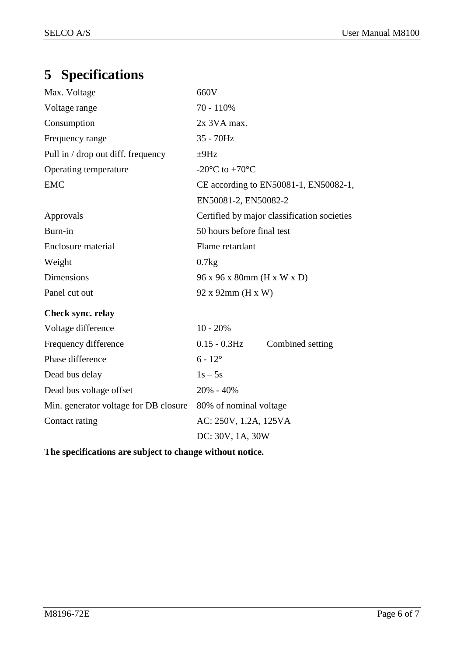## <span id="page-5-0"></span>**5 Specifications**

| Max. Voltage                          | 660V                                          |  |  |
|---------------------------------------|-----------------------------------------------|--|--|
| Voltage range                         | 70 - 110%                                     |  |  |
| Consumption                           | 2x 3VA max.                                   |  |  |
| Frequency range                       | 35 - 70Hz                                     |  |  |
| Pull in / drop out diff. frequency    | $\pm$ 9Hz                                     |  |  |
| Operating temperature                 | -20 $^{\circ}$ C to +70 $^{\circ}$ C          |  |  |
| <b>EMC</b>                            | CE according to EN50081-1, EN50082-1,         |  |  |
|                                       | EN50081-2, EN50082-2                          |  |  |
| Approvals                             | Certified by major classification societies   |  |  |
| Burn-in                               | 50 hours before final test                    |  |  |
| Enclosure material                    | Flame retardant                               |  |  |
| Weight                                | 0.7kg                                         |  |  |
| Dimensions                            | 96 x 96 x 80mm (H x W x D)                    |  |  |
| Panel cut out                         | 92 x 92mm (H x W)                             |  |  |
| Check sync. relay                     |                                               |  |  |
| Voltage difference                    | $10 - 20%$                                    |  |  |
| Frequency difference                  | $0.15$ - $0.3\mathrm{Hz}$<br>Combined setting |  |  |
| Phase difference                      | $6 - 12^{\circ}$                              |  |  |
| Dead bus delay                        | $1s - 5s$                                     |  |  |
| Dead bus voltage offset               | 20% - 40%                                     |  |  |
| Min. generator voltage for DB closure | 80% of nominal voltage                        |  |  |
| Contact rating                        | AC: 250V, 1.2A, 125VA                         |  |  |
|                                       | DC: 30V, 1A, 30W                              |  |  |

**The specifications are subject to change without notice.**